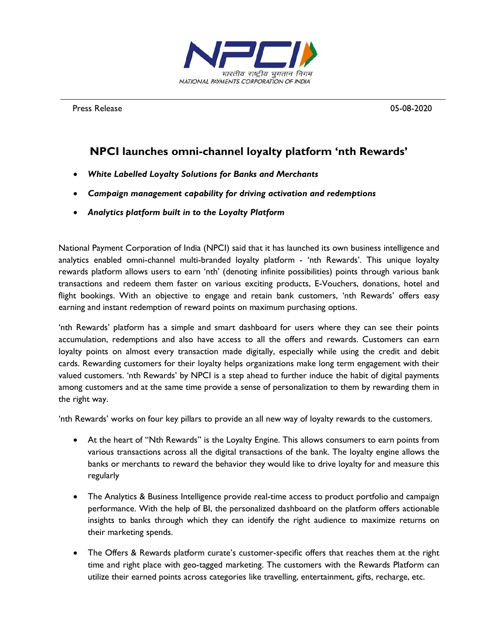

Press Release 2020 and 2012 and 2012 and 2012 and 2012 and 2012 and 2012 and 2012 and 2012 and 2012 and 2012 and 2012 and 2012 and 2012 and 2012 and 2012 and 2012 and 2012 and 2012 and 2012 and 2012 and 2012 and 2012 and 2

## **NPCI launches omni-channel loyalty platform 'nth Rewards'**

- *White Labelled Loyalty Solutions for Banks and Merchants*
- *Campaign management capability for driving activation and redemptions*
- *Analytics platform built in to the Loyalty Platform*

National Payment Corporation of India (NPCI) said that it has launched its own business intelligence and analytics enabled omni-channel multi-branded loyalty platform - 'nth Rewards'. This unique loyalty rewards platform allows users to earn 'nth' (denoting infinite possibilities) points through various bank transactions and redeem them faster on various exciting products, E-Vouchers, donations, hotel and flight bookings. With an objective to engage and retain bank customers, 'nth Rewards' offers easy earning and instant redemption of reward points on maximum purchasing options.

'nth Rewards' platform has a simple and smart dashboard for users where they can see their points accumulation, redemptions and also have access to all the offers and rewards. Customers can earn loyalty points on almost every transaction made digitally, especially while using the credit and debit cards. Rewarding customers for their loyalty helps organizations make long term engagement with their valued customers. 'nth Rewards' by NPCI is a step ahead to further induce the habit of digital payments among customers and at the same time provide a sense of personalization to them by rewarding them in the right way.

'nth Rewards' works on four key pillars to provide an all new way of loyalty rewards to the customers.

- At the heart of "Nth Rewards" is the Loyalty Engine. This allows consumers to earn points from various transactions across all the digital transactions of the bank. The loyalty engine allows the banks or merchants to reward the behavior they would like to drive loyalty for and measure this regularly
- The Analytics & Business Intelligence provide real-time access to product portfolio and campaign performance. With the help of BI, the personalized dashboard on the platform offers actionable insights to banks through which they can identify the right audience to maximize returns on their marketing spends.
- The Offers & Rewards platform curate's customer-specific offers that reaches them at the right time and right place with geo-tagged marketing. The customers with the Rewards Platform can utilize their earned points across categories like travelling, entertainment, gifts, recharge, etc.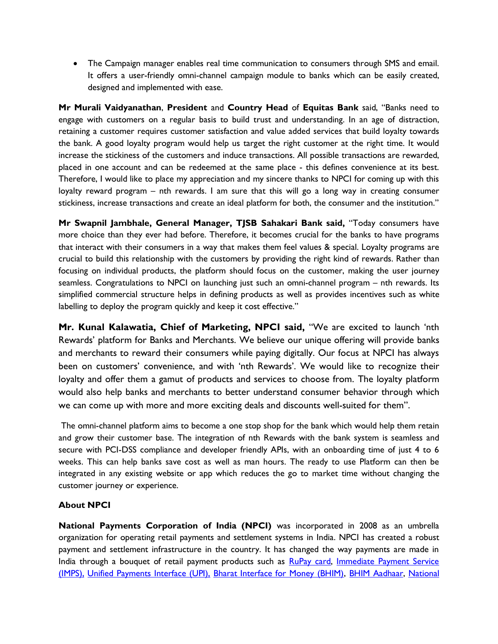The Campaign manager enables real time communication to consumers through SMS and email. It offers a user-friendly omni-channel campaign module to banks which can be easily created, designed and implemented with ease.

**Mr Murali Vaidyanathan**, **President** and **Country Head** of **Equitas Bank** said, "Banks need to engage with customers on a regular basis to build trust and understanding. In an age of distraction, retaining a customer requires customer satisfaction and value added services that build loyalty towards the bank. A good loyalty program would help us target the right customer at the right time. It would increase the stickiness of the customers and induce transactions. All possible transactions are rewarded, placed in one account and can be redeemed at the same place - this defines convenience at its best. Therefore, I would like to place my appreciation and my sincere thanks to NPCI for coming up with this loyalty reward program – nth rewards. I am sure that this will go a long way in creating consumer stickiness, increase transactions and create an ideal platform for both, the consumer and the institution."

**Mr Swapnil Jambhale, General Manager, TJSB Sahakari Bank said,** "Today consumers have more choice than they ever had before. Therefore, it becomes crucial for the banks to have programs that interact with their consumers in a way that makes them feel values & special. Loyalty programs are crucial to build this relationship with the customers by providing the right kind of rewards. Rather than focusing on individual products, the platform should focus on the customer, making the user journey seamless. Congratulations to NPCI on launching just such an omni-channel program – nth rewards. Its simplified commercial structure helps in defining products as well as provides incentives such as white labelling to deploy the program quickly and keep it cost effective."

**Mr. Kunal Kalawatia, Chief of Marketing, NPCI said,** "We are excited to launch 'nth Rewards' platform for Banks and Merchants. We believe our unique offering will provide banks and merchants to reward their consumers while paying digitally. Our focus at NPCI has always been on customers' convenience, and with 'nth Rewards'. We would like to recognize their loyalty and offer them a gamut of products and services to choose from. The loyalty platform would also help banks and merchants to better understand consumer behavior through which we can come up with more and more exciting deals and discounts well-suited for them".

The omni-channel platform aims to become a one stop shop for the bank which would help them retain and grow their customer base. The integration of nth Rewards with the bank system is seamless and secure with PCI-DSS compliance and developer friendly APIs, with an onboarding time of just 4 to 6 weeks. This can help banks save cost as well as man hours. The ready to use Platform can then be integrated in any existing website or app which reduces the go to market time without changing the customer journey or experience.

## **About NPCI**

**National Payments Corporation of India (NPCI)** was incorporated in 2008 as an umbrella organization for operating retail payments and settlement systems in India. NPCI has created a robust payment and settlement infrastructure in the country. It has changed the way payments are made in India through a bouquet of retail payment products such as [RuPay card,](https://www.npci.org.in/product-overview/rupay-product-overview) Immediate Payment Service [\(IMPS\),](https://www.npci.org.in/product-overview/imps-product-overview) [Unified Payments Interface \(UPI\),](https://www.npci.org.in/product-overview/upi-product-overview) [Bharat Interface for Money \(BHIM\),](https://www.npci.org.in/product-overview/bhim-product-overview) [BHIM Aadhaar,](https://www.npci.org.in/product-overview/bhim-aadhaar) [National](https://www.npci.org.in/netc)